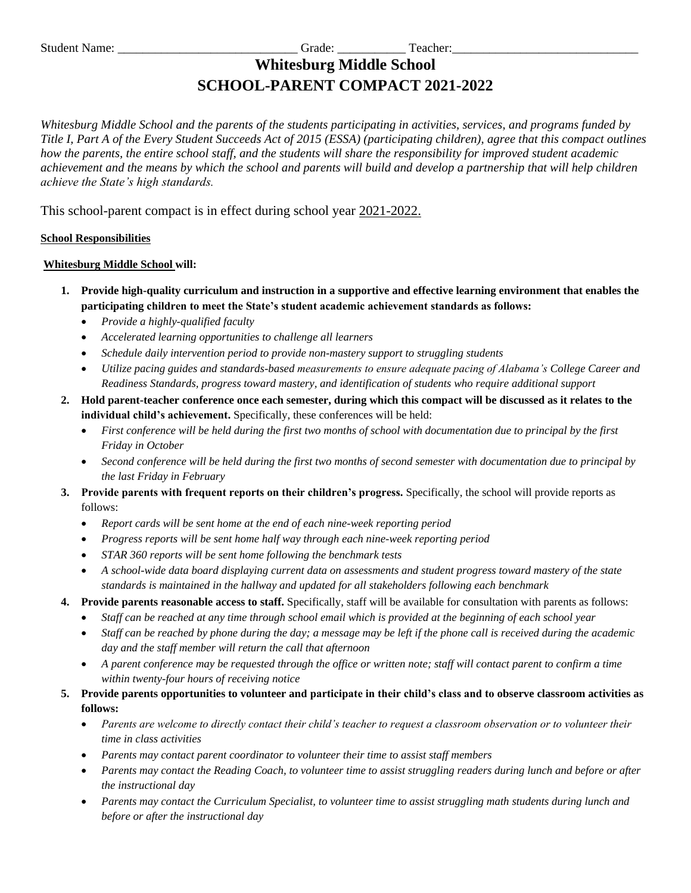# **Whitesburg Middle School SCHOOL-PARENT COMPACT 2021-2022**

*Whitesburg Middle School and the parents of the students participating in activities, services, and programs funded by Title I, Part A of the Every Student Succeeds Act of 2015 (ESSA) (participating children), agree that this compact outlines how the parents, the entire school staff, and the students will share the responsibility for improved student academic achievement and the means by which the school and parents will build and develop a partnership that will help children achieve the State's high standards.*

This school-parent compact is in effect during school year 2021-2022.

## **School Responsibilities**

## **Whitesburg Middle School will:**

- **1. Provide high-quality curriculum and instruction in a supportive and effective learning environment that enables the participating children to meet the State's student academic achievement standards as follows:**
	- *Provide a highly-qualified faculty*
	- *Accelerated learning opportunities to challenge all learners*
	- *Schedule daily intervention period to provide non-mastery support to struggling students*
	- *Utilize pacing guides and standards-based measurements to ensure adequate pacing of Alabama's College Career and Readiness Standards, progress toward mastery, and identification of students who require additional support*
- **2. Hold parent-teacher conference once each semester, during which this compact will be discussed as it relates to the individual child's achievement.** Specifically, these conferences will be held:
	- *First conference will be held during the first two months of school with documentation due to principal by the first Friday in October*
	- *Second conference will be held during the first two months of second semester with documentation due to principal by the last Friday in February*
- **3. Provide parents with frequent reports on their children's progress.** Specifically, the school will provide reports as follows:
	- *Report cards will be sent home at the end of each nine-week reporting period*
	- *Progress reports will be sent home half way through each nine-week reporting period*
	- *STAR 360 reports will be sent home following the benchmark tests*
	- *A school-wide data board displaying current data on assessments and student progress toward mastery of the state standards is maintained in the hallway and updated for all stakeholders following each benchmark*
- **4. Provide parents reasonable access to staff.** Specifically, staff will be available for consultation with parents as follows:
	- *Staff can be reached at any time through school email which is provided at the beginning of each school year*
	- *Staff can be reached by phone during the day; a message may be left if the phone call is received during the academic day and the staff member will return the call that afternoon*
	- *A parent conference may be requested through the office or written note; staff will contact parent to confirm a time within twenty-four hours of receiving notice*
- **5. Provide parents opportunities to volunteer and participate in their child's class and to observe classroom activities as follows:** 
	- *Parents are welcome to directly contact their child's teacher to request a classroom observation or to volunteer their time in class activities*
	- *Parents may contact parent coordinator to volunteer their time to assist staff members*
	- *Parents may contact the Reading Coach, to volunteer time to assist struggling readers during lunch and before or after the instructional day*
	- *Parents may contact the Curriculum Specialist, to volunteer time to assist struggling math students during lunch and before or after the instructional day*